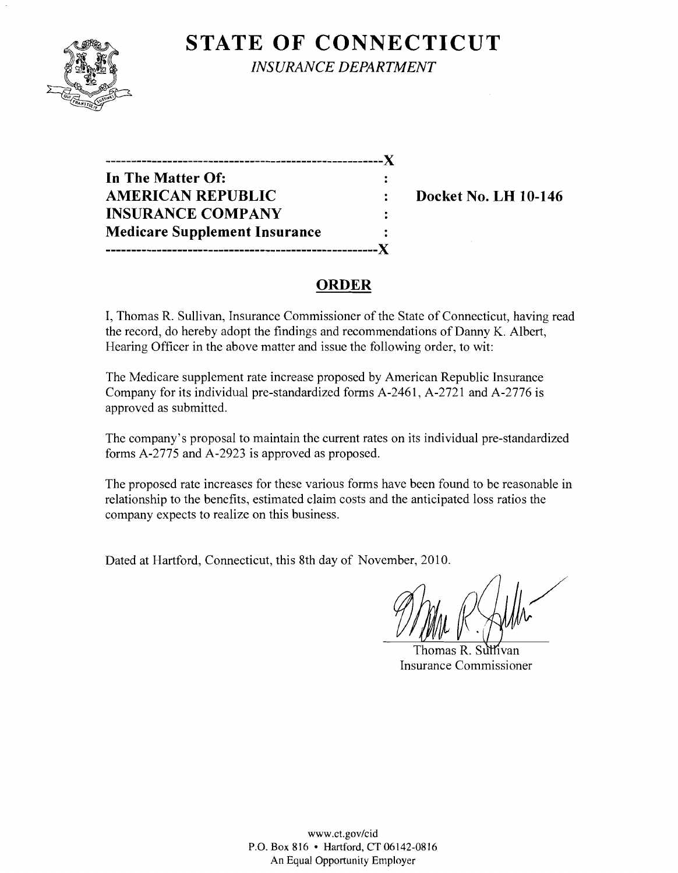

**STATE OF CONNECTICUT** *INSURANCE DEPARTMENT* 

**------------------------------------------------------)( In The Matter Of: AMERICAN REPUBLIC** : Docket No. LH 10-146 **INSURANCE COMPANY Medicare Supplement Insurance -----------------------------------------------------)(** 

# **ORDER**

I, Thomas R. Sullivan, Insurance Commissioner of the State of Connecticut, having read the record, do hereby adopt the findings and recommendations of Danny K. Albert, Hearing Officer in the above matter and issue the following order, to wit:

The Medicare supplement rate increase proposed by American Republic Insurance Company for its individual pre-standardized forms A-2461, A-2721 and A-2776 is approved as submitted.

The company's proposal to maintain the current rates on its individual pre-standardized forms A-2775 and A-2923 is approved as proposed.

The proposed rate increases for these various forms have been found to be reasonable in relationship to the benefits, estimated claim costs and the anticipated loss ratios the company expects to realize on this business.

Dated at Hartford, Connecticut, this 8th day of November, 2010.

Thomas R. Sullivan Insurance Commissioner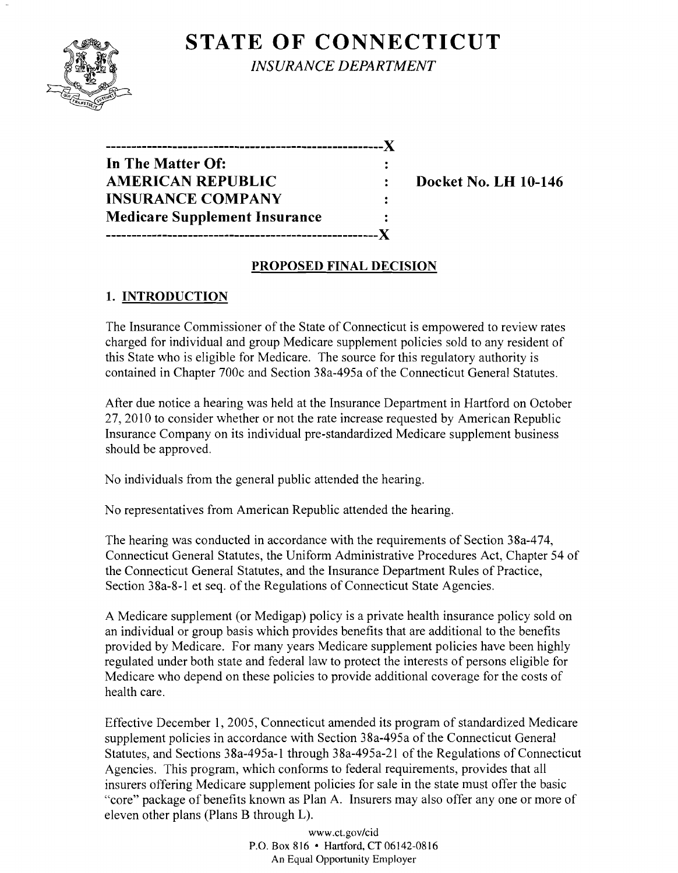# **STATE OF CONNECTICUT**



*INSURANCE DEPARTMENT* 

| In The Matter Of:                    |  |
|--------------------------------------|--|
| <b>AMERICAN REPUBLIC</b>             |  |
| <b>INSURANCE COMPANY</b>             |  |
| <b>Medicare Supplement Insurance</b> |  |
|                                      |  |

**Docket No. LH 10-146** 

### **PROPOSED FINAL DECISION**

# **1. INTRODUCTION**

The Insurance Commissioner of the State of Connecticut is empowered to review rates charged for individual and group Medicare supplement policies sold to any resident of this State who is eligible for Medicare. The source for this regulatory authority is contained in Chapter 700c and Section 38a-495a of the Connecticut General Statutes.

After due notice a hearing was held at the Insurance Department in Hartford on October 27,2010 to consider whether or not the rate increase requested by American Republic Insurance Company on its individual pre-standardized Medicare supplement business should be approved.

No individuals from the general public attended the hearing.

No representatives from American Republic attended the hearing.

The hearing was conducted in accordance with the requirements of Section 38a-474, Connecticut General Statutes, the Uniform Administrative Procedures Act, Chapter 54 of the Connecticut General Statutes, and the Insurance Department Rules of Practice, Section 38a-8-1 et seq. of the Regulations of Connecticut State Agencies.

A Medicare supplement (or Medigap) policy is a private health insurance policy sold on an individual or group basis which provides benefits that are additional to the benefits provided by Medicare. For many years Medicare supplement policies have been highly regulated under both state and federal law to protect the interests of persons eligible for Medicare who depend on these policies to provide additional coverage for the costs of health care.

Effective December 1, 2005, Connecticut amended its program of standardized Medicare supplement policies in accordance with Section 38a-495a of the Connecticut General Statutes, and Sections 38a-495a-l through 38a-495a-21 of the Regulations of Connecticut Agencies. This program, which conforms to federal requirements, provides that all insurers offering Medicare supplement policies for sale in the state must offer the basic "core" package of benefits known as Plan A. Insurers may also offer anyone or more of eleven other plans (Plans B through L).

> www.ct.gov/cid P.O. Box 816 • Hartford, CT 06142-0816 An Equal Opportunity Employer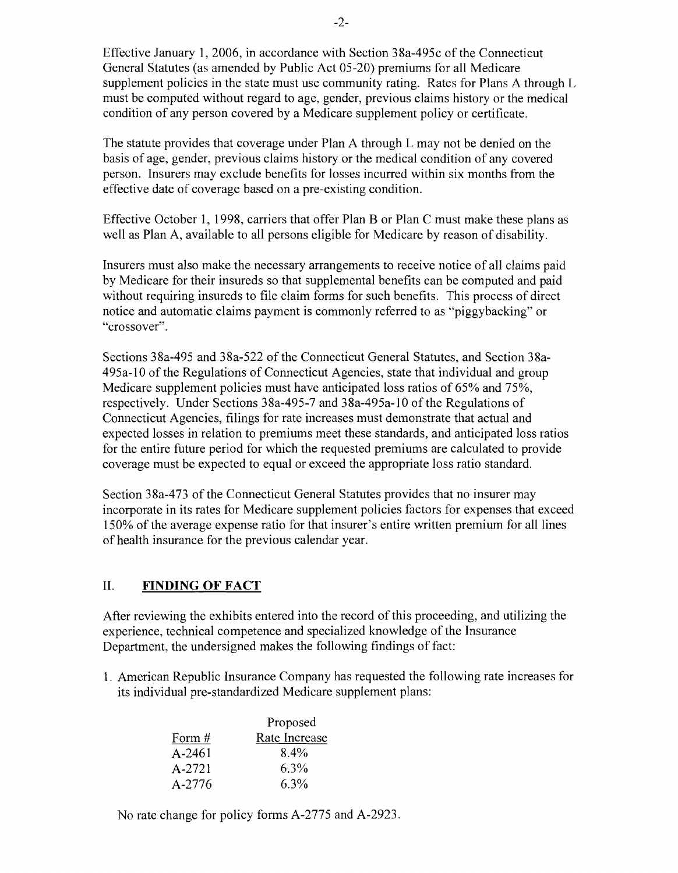Effective January 1,2006, in accordance with Section 38a-495c of the Connecticut General Statutes (as amended by Public Act 05-20) premiums for all Medicare supplement policies in the state must use community rating. Rates for Plans A through L must be computed without regard to age, gender, previous claims history or the medical condition of any person covered by a Medicare supplement policy or certificate.

The statute provides that coverage under Plan A through L may not be denied on the basis of age, gender, previous claims history or the medical condition of any covered person. Insurers may exclude benefits for losses incurred within six months from the effective date of coverage based on a pre-existing condition.

Effective October 1, 1998, carriers that offer Plan B or Plan C must make these plans as well as Plan A, available to all persons eligible for Medicare by reason of disability.

Insurers must also make the necessary arrangements to receive notice of all claims paid by Medicare for their insureds so that supplemental benefits can be computed and paid without requiring insureds to file claim forms for such benefits. This process of direct notice and automatic claims payment is commonly referred to as "piggybacking" or "crossover".

Sections 38a-495 and 38a-522 of the Connecticut General Statutes, and Section 38a-495a-10 of the Regulations of Connecticut Agencies, state that individual and group Medicare supplement policies must have anticipated loss ratios of 65% and 75%, respectively. Under Sections 38a-495-7 and 38a-495a-10 of the Regulations of Connecticut Agencies, filings for rate increases must demonstrate that actual and expected losses in relation to premiums meet these standards, and anticipated loss ratios for the entire future period for which the requested premiums are calculated to provide coverage must be expected to equal or exceed the appropriate loss ratio standard.

Section 38a-473 of the Connecticut General Statutes provides that no insurer may incorporate in its rates for Medicare supplement policies factors for expenses that exceed 150% of the average expense ratio for that insurer's entire written premium for all lines of health insurance for the previous calendar year.

#### II. **FINDING OF FACT**

After reviewing the exhibits entered into the record of this proceeding, and utilizing the experience, technical competence and specialized knowledge of the Insurance Department, the undersigned makes the following findings of fact:

1. American Republic Insurance Company has requested the following rate increases for its individual pre-standardized Medicare supplement plans:

|            | Proposed      |
|------------|---------------|
| Form $#$   | Rate Increase |
| A-2461     | 8.4%          |
| $A - 2721$ | 6.3%          |
| A-2776     | 6.3%          |

No rate change for policy forms A-2775 and A-2923.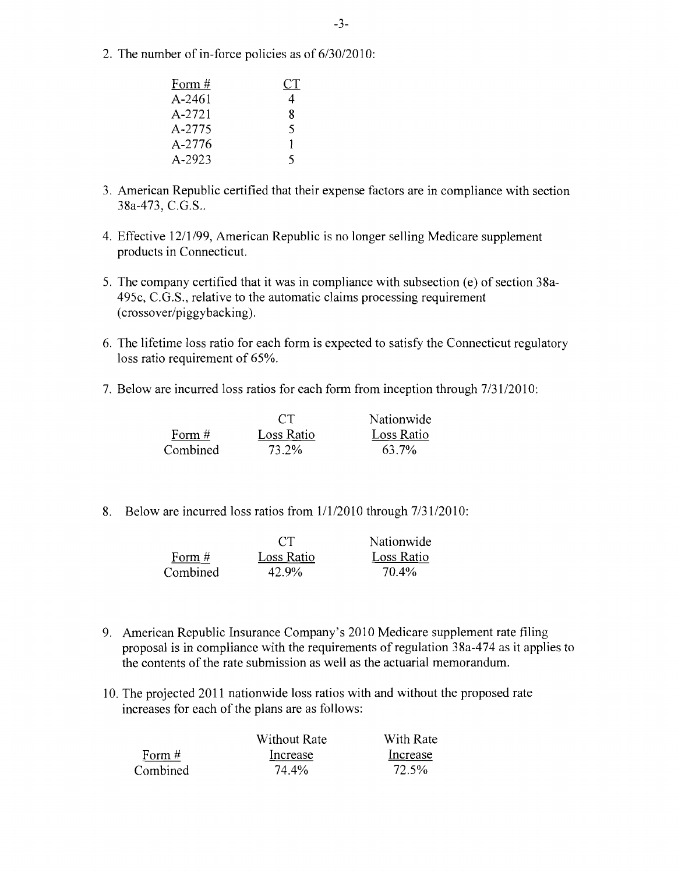2. The number of in-force policies as of  $6/30/2010$ :

| Form # | СT |
|--------|----|
| A-2461 | 4  |
| A-2721 | 8  |
| A-2775 | 5  |
| A-2776 | ı  |
| A-2923 | 5  |

- 3. American Republic certified that their expense factors are in compliance with section 38a-473, C.G.S..
- 4. Effective 12/1/99, American Republic is no longer selling Medicare supplement products in Connecticut.
- 5. The company certified that it was in compliance with subsection (e) of section 38a-495c, C.G.S., relative to the automatic claims processing requirement (crossover/piggybacking).
- 6. The lifetime loss ratio for each form is expected to satisfy the Connecticut regulatory loss ratio requirement of 65%.
- 7. Below are incurred loss ratios for each form from inception through  $7/31/2010$ :

|          | CT         | Nationwide |
|----------|------------|------------|
| Form $#$ | Loss Ratio | Loss Ratio |
| Combined | 73.2%      | 63.7%      |

8. Below are incurred loss ratios from  $1/1/2010$  through  $7/31/2010$ :

|          | CT         | Nationwide |
|----------|------------|------------|
| Form #   | Loss Ratio | Loss Ratio |
| Combined | 42.9%      | 70.4%      |

- 9. American Republic Insurance Company's 2010 Medicare supplement rate filing proposal is in compliance with the requirements of regulation 38a-474 as it applies to the contents of the rate submission as well as the actuarial memorandum.
- 10. The projected 2011 nationwide loss ratios with and without the proposed rate increases for each of the plans are as follows:

|          | Without Rate | With Rate |
|----------|--------------|-----------|
| Form $#$ | Increase     | Increase  |
| Combined | 74.4%        | 72.5%     |